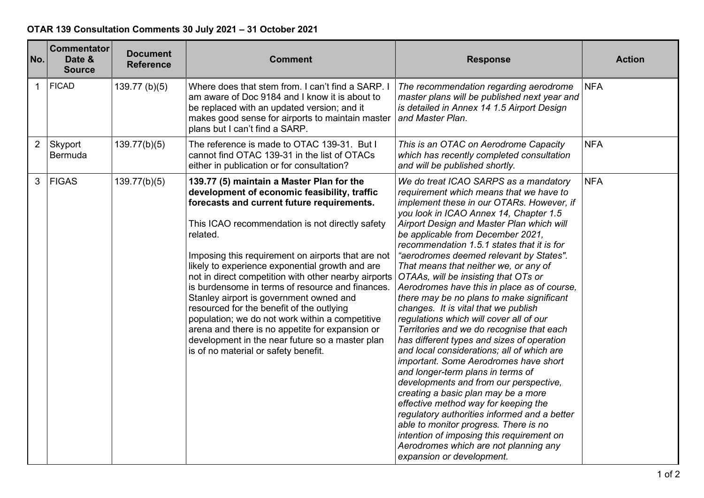## **OTAR 139 Consultation Comments 30 July 2021 – 31 October 2021**

| No.            | <b>Commentator</b><br>Date &<br><b>Source</b> | <b>Document</b><br><b>Reference</b> | <b>Comment</b>                                                                                                                                                                                                                                                                                                                                                                                                                                                                                                                                                                                                                                                                                                       | <b>Response</b>                                                                                                                                                                                                                                                                                                                                                                                                                                                                                                                                                                                                                                                                                                                                                                                                                                                                                                                                                                                                                                                                                                                                                                | <b>Action</b> |
|----------------|-----------------------------------------------|-------------------------------------|----------------------------------------------------------------------------------------------------------------------------------------------------------------------------------------------------------------------------------------------------------------------------------------------------------------------------------------------------------------------------------------------------------------------------------------------------------------------------------------------------------------------------------------------------------------------------------------------------------------------------------------------------------------------------------------------------------------------|--------------------------------------------------------------------------------------------------------------------------------------------------------------------------------------------------------------------------------------------------------------------------------------------------------------------------------------------------------------------------------------------------------------------------------------------------------------------------------------------------------------------------------------------------------------------------------------------------------------------------------------------------------------------------------------------------------------------------------------------------------------------------------------------------------------------------------------------------------------------------------------------------------------------------------------------------------------------------------------------------------------------------------------------------------------------------------------------------------------------------------------------------------------------------------|---------------|
| $\mathbf{1}$   | FICAD                                         | $139.77$ (b)(5)                     | Where does that stem from. I can't find a SARP. I<br>am aware of Doc 9184 and I know it is about to<br>be replaced with an updated version; and it<br>makes good sense for airports to maintain master<br>plans but I can't find a SARP.                                                                                                                                                                                                                                                                                                                                                                                                                                                                             | The recommendation regarding aerodrome<br>master plans will be published next year and<br>is detailed in Annex 14 1.5 Airport Design<br>and Master Plan.                                                                                                                                                                                                                                                                                                                                                                                                                                                                                                                                                                                                                                                                                                                                                                                                                                                                                                                                                                                                                       | <b>NFA</b>    |
| $\overline{2}$ | Skyport<br>Bermuda                            | 139.77(b)(5)                        | The reference is made to OTAC 139-31. But I<br>cannot find OTAC 139-31 in the list of OTACs<br>either in publication or for consultation?                                                                                                                                                                                                                                                                                                                                                                                                                                                                                                                                                                            | This is an OTAC on Aerodrome Capacity<br>which has recently completed consultation<br>and will be published shortly.                                                                                                                                                                                                                                                                                                                                                                                                                                                                                                                                                                                                                                                                                                                                                                                                                                                                                                                                                                                                                                                           | <b>NFA</b>    |
| 3              | FIGAS                                         | 139.77(b)(5)                        | 139.77 (5) maintain a Master Plan for the<br>development of economic feasibility, traffic<br>forecasts and current future requirements.<br>This ICAO recommendation is not directly safety<br>related.<br>Imposing this requirement on airports that are not<br>likely to experience exponential growth and are<br>not in direct competition with other nearby airports<br>is burdensome in terms of resource and finances.<br>Stanley airport is government owned and<br>resourced for the benefit of the outlying<br>population; we do not work within a competitive<br>arena and there is no appetite for expansion or<br>development in the near future so a master plan<br>is of no material or safety benefit. | We do treat ICAO SARPS as a mandatory<br>requirement which means that we have to<br>implement these in our OTARs. However, if<br>you look in ICAO Annex 14, Chapter 1.5<br>Airport Design and Master Plan which will<br>be applicable from December 2021,<br>recommendation 1.5.1 states that it is for<br>"aerodromes deemed relevant by States".<br>That means that neither we, or any of<br>OTAAs, will be insisting that OTs or<br>Aerodromes have this in place as of course,<br>there may be no plans to make significant<br>changes. It is vital that we publish<br>regulations which will cover all of our<br>Territories and we do recognise that each<br>has different types and sizes of operation<br>and local considerations; all of which are<br>important. Some Aerodromes have short<br>and longer-term plans in terms of<br>developments and from our perspective,<br>creating a basic plan may be a more<br>effective method way for keeping the<br>regulatory authorities informed and a better<br>able to monitor progress. There is no<br>intention of imposing this requirement on<br>Aerodromes which are not planning any<br>expansion or development. | <b>NFA</b>    |